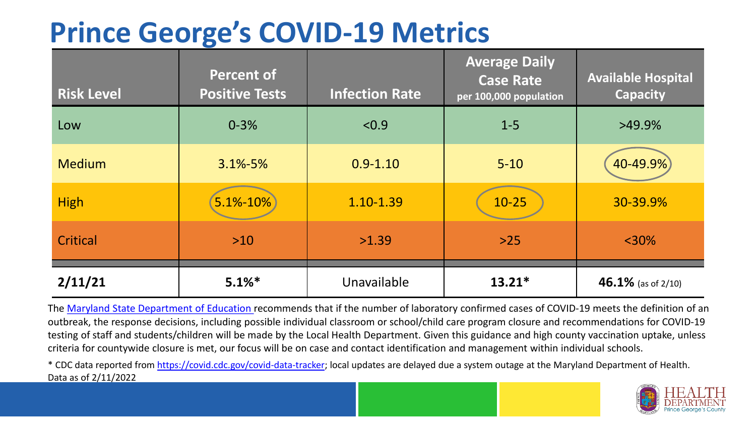## **Prince George's COVID-19 Metrics**

| <b>Risk Level</b> | <b>Percent of</b><br><b>Positive Tests</b> | <b>Infection Rate</b> | <b>Average Daily</b><br><b>Case Rate</b><br>per 100,000 population | <b>Available Hospital</b><br><b>Capacity</b> |
|-------------------|--------------------------------------------|-----------------------|--------------------------------------------------------------------|----------------------------------------------|
| Low               | $0 - 3%$                                   | < 0.9                 | $1 - 5$                                                            | $>49.9\%$                                    |
| <b>Medium</b>     | $3.1\% - 5\%$                              | $0.9 - 1.10$          | $5 - 10$                                                           | 40-49.9%                                     |
| <b>High</b>       | 5.1%-10%                                   | 1.10-1.39             | $10 - 25$                                                          | 30-39.9%                                     |
| Critical          | $>10$                                      | >1.39                 | $>25$                                                              | $<$ 30%                                      |
| 2/11/21           | $5.1\%$ *                                  | Unavailable           | $13.21*$                                                           | 46.1% (as of 2/10)                           |

The [Maryland State Department of Education](https://earlychildhood.marylandpublicschools.org/system/files/filedepot/3/covid_guidance_full_080420.pdf) recommends that if the number of laboratory confirmed cases of COVID-19 meets the definition of an outbreak, the response decisions, including possible individual classroom or school/child care program closure and recommendations for COVID-19 testing of staff and students/children will be made by the Local Health Department. Given this guidance and high county vaccination uptake, unless criteria for countywide closure is met, our focus will be on case and contact identification and management within individual schools.

\* CDC data reported from <https://covid.cdc.gov/covid-data-tracker>; local updates are delayed due a system outage at the Maryland Department of Health. Data as of 2/11/2022

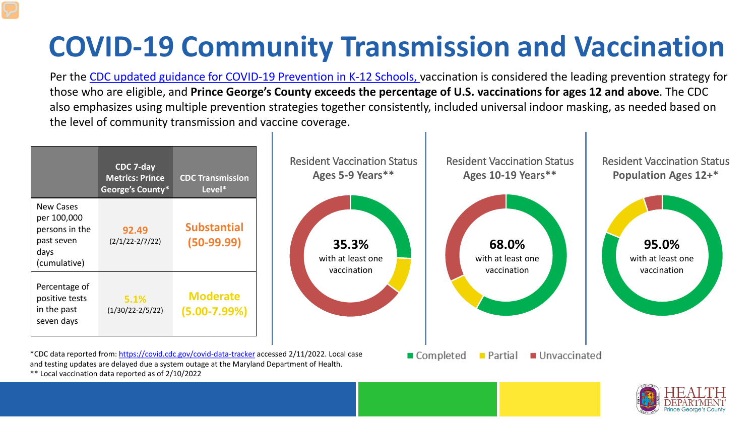## **COVID-19 Community Transmission and Vaccination**

Per the [CDC updated guidance for COVID-19 Prevention in K-12 Schools,](https://www.cdc.gov/coronavirus/2019-ncov/community/schools-childcare/k-12-guidance.html) vaccination is considered the leading prevention strategy for those who are eligible, and **Prince George's County exceeds the percentage of U.S. vaccinations for ages 12 and above**. The CDC also emphasizes using multiple prevention strategies together consistently, included universal indoor masking, as needed based on the level of community transmission and vaccine coverage.